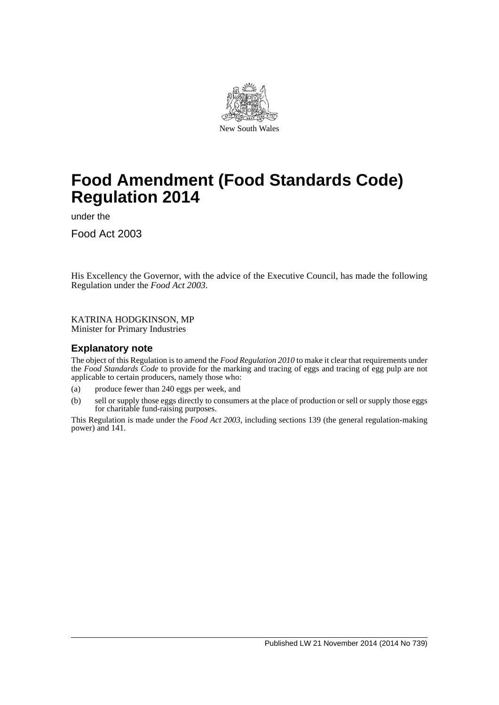

# **Food Amendment (Food Standards Code) Regulation 2014**

under the

Food Act 2003

His Excellency the Governor, with the advice of the Executive Council, has made the following Regulation under the *Food Act 2003*.

KATRINA HODGKINSON, MP Minister for Primary Industries

### **Explanatory note**

The object of this Regulation is to amend the *Food Regulation 2010* to make it clear that requirements under the *Food Standards Code* to provide for the marking and tracing of eggs and tracing of egg pulp are not applicable to certain producers, namely those who:

- (a) produce fewer than 240 eggs per week, and
- (b) sell or supply those eggs directly to consumers at the place of production or sell or supply those eggs for charitable fund-raising purposes.

This Regulation is made under the *Food Act 2003*, including sections 139 (the general regulation-making power) and 141.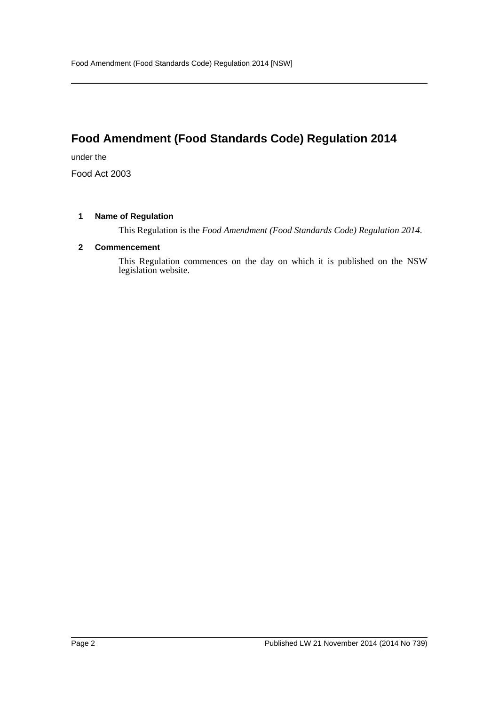## **Food Amendment (Food Standards Code) Regulation 2014**

under the

Food Act 2003

### **1 Name of Regulation**

This Regulation is the *Food Amendment (Food Standards Code) Regulation 2014*.

### **2 Commencement**

This Regulation commences on the day on which it is published on the NSW legislation website.